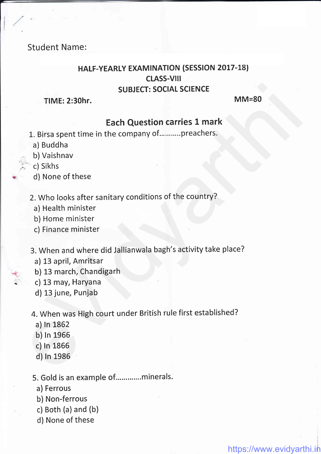# Student Name:

# HALF-YEARLY EXAMINATION (SESSION 2017-18) CLASS-Vlll SUBJECT: SOCIAL SCIENCE SUBJECT: SOCIAL SCIENCE<br>
MM=80<br>
Each Question carries 1 mark<br>
1. Birsa spent time in the company of..........preachers.<br>
a) Buddha<br>
b) Vaishnav<br>
c) Sikhs<br>
d) None of these<br>
2. Who looks after sanitary conditions of the cou

TIME: 2:30hr. MM=80

https://www.evidyarthi.in

# Each Question carries 1 mark

- 1. Birsa spent time in the company of...........preachers.
	- a) Buddha
	- b) Vaishnav
- c) Sikhs
- d) None of these
- 2. Who looks after sanitary conditions of the country?
	- a) Health minister
	- b) Home minister
	- c) Finance minister
- 3. When and where did Jallianwala bagh's activity take place?
	- a) 13 april, Amritsar
	- b) 13 march, Chandigarh
	- c) 13 may, Haryana
	- d) 13 june, Punjab

4. When was High court under British rule first established?

a) ln L862

H

- b) ln 1966
- c) ln 1866
- d) In 1986

5. Gold is an example of.............minerals.

- a) Ferrous
- b) Non-ferrous
- c) Both (a) and (b)
- d) None of these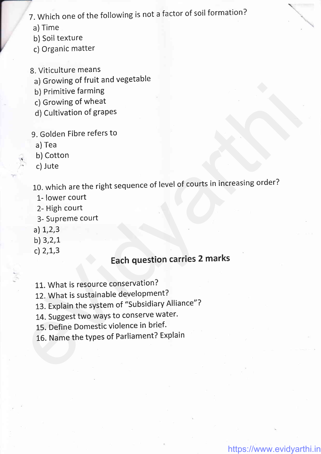# 7. Which one of the following is not a factor of soil formation?

- a) Time
- b) Soil texture
- c) Organic matter
- 8. Viticulture means
	- a) Growing of fruit and vegetable
	- b) Primitive farming
	- c) Growing of wheat
	- d) Cultivation of grapes
- 9. Golden Fibre refers to
	- a) Tea
- b) Cotton
- c) Jute

,

10. which are the right sequence of level of courts in increasing order? example of the state of the state of the state of the Spherimann (1) Pirinitive farming<br>
9. Golden Fibre refers to<br>
a) Teat<br>
a) Teat<br>
a) Teat<br>
10. Which are the right sequence of level of courts in increasing order?<br>
1 - I

- 1- lower court
- 2- High court
- 3- Supreme court
- a) L,2,3
- b) 3,2,L
- c)  $2,1,3$

# Each question carries 2 marks

- 11. What is resource conservation?
- 12. What is sustainable development?
- 13. Explain the system of "subsidiary Alliance"?
- 14. Suggest two ways to conserve water.
- 15. Define Domestic violence in brief.
- 16. Name the types of Parliament? Explain